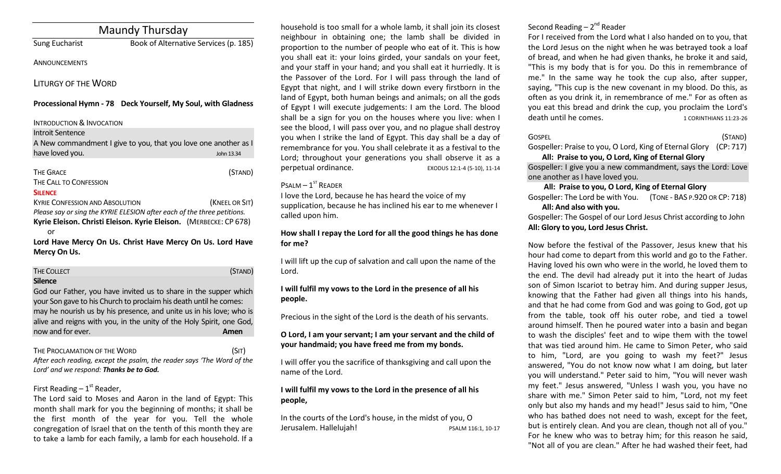|                                        | Maundy Thursday                                                                                                                          |                |
|----------------------------------------|------------------------------------------------------------------------------------------------------------------------------------------|----------------|
| <b>Sung Eucharist</b>                  | Book of Alternative Services (p. 185)                                                                                                    |                |
| <b>ANNOUNCEMENTS</b>                   |                                                                                                                                          |                |
| <b>LITURGY OF THE WORD</b>             |                                                                                                                                          |                |
|                                        | Processional Hymn - 78 Deck Yourself, My Soul, with Gladness                                                                             |                |
| INTRODUCTION & INVOCATION              |                                                                                                                                          |                |
| <b>Introit Sentence</b>                |                                                                                                                                          |                |
|                                        | A New commandment I give to you, that you love one another as I                                                                          |                |
| have loved you.                        |                                                                                                                                          | John 13.34     |
| <b>THE GRACE</b>                       |                                                                                                                                          | (STAND)        |
| THE CALL TO CONFESSION                 |                                                                                                                                          |                |
| <b>SILENCE</b>                         |                                                                                                                                          |                |
| <b>KYRIE CONFESSION AND ABSOLUTION</b> |                                                                                                                                          | (KNEEL OR SIT) |
|                                        | Please say or sing the KYRIE ELESION after each of the three petitions.                                                                  |                |
| or                                     | Kyrie Eleison. Christi Eleison. Kyrie Eleison. (MERBECKE: CP 678)                                                                        |                |
| Mercy On Us.                           | Lord Have Mercy On Us. Christ Have Mercy On Us. Lord Have                                                                                |                |
| <b>THE COLLECT</b>                     |                                                                                                                                          | (STAND)        |
| <b>Silence</b>                         |                                                                                                                                          |                |
|                                        | God our Father, you have invited us to share in the supper which                                                                         |                |
|                                        | your Son gave to his Church to proclaim his death until he comes:<br>may he nourish us by his presence, and unite us in his love; who is |                |
|                                        | alive and reigns with you, in the unity of the Holy Spirit, one God,                                                                     |                |
| now and for ever.                      |                                                                                                                                          | Amen           |
|                                        |                                                                                                                                          |                |
| THE PROCLAMATION OF THE WORD           |                                                                                                                                          | (SIT)          |
|                                        | After each reading, except the psalm, the reader says 'The Word of the                                                                   |                |

# First Reading  $-1<sup>st</sup>$  Reader,

*Lord' and we respond: Thanks be to God.* 

The Lord said to Moses and Aaron in the land of Egypt: This month shall mark for you the beginning of months; it shall be the first month of the year for you. Tell the whole congregation of Israel that on the tenth of this month they are to take a lamb for each family, a lamb for each household. If a

household is too small for a whole lamb, it shall join its closest neighbour in obtaining one; the lamb shall be divided in proportion to the number of people who eat of it. This is how you shall eat it: your loins girded, your sandals on your feet, and your staff in your hand; and you shall eat it hurriedly. It is the Passover of the Lord. For I will pass through the land of Egypt that night, and I will strike down every firstborn in the land of Egypt, both human beings and animals; on all the gods of Egypt I will execute judgements: I am the Lord. The blood shall be a sign for you on the houses where you live: when I see the blood, I will pass over you, and no plague shall destroy you when I strike the land of Egypt. This day shall be a day of remembrance for you. You shall celebrate it as a festival to the Lord; throughout your generations you shall observe it as a perpetual ordinance. EXODUS 12:1-4 (5-10), 11-14

### $P$ SALM  $-1$ <sup>ST</sup> READER

I love the Lord, because he has heard the voice of my supplication, because he has inclined his ear to me whenever I called upon him.

### **How shall I repay the Lord for all the good things he has done for me?**

I will lift up the cup of salvation and call upon the name of the Lord.

## **I will fulfil my vows to the Lord in the presence of all his people.**

Precious in the sight of the Lord is the death of his servants.

## **O Lord, I am your servant; I am your servant and the child of your handmaid; you have freed me from my bonds.**

I will offer you the sacrifice of thanksgiving and call upon the name of the Lord.

# **I will fulfil my vows to the Lord in the presence of all his people,**

In the courts of the Lord's house, in the midst of you, O Jerusalem. Hallelujah! PSALM 116:1, 10-17

# Second Reading – 2<sup>nd</sup> Reader

For I received from the Lord what I also handed on to you, that the Lord Jesus on the night when he was betrayed took a loaf of bread, and when he had given thanks, he broke it and said, "This is my body that is for you. Do this in remembrance of me." In the same way he took the cup also, after supper, saying, "This cup is the new covenant in my blood. Do this, as often as you drink it, in remembrance of me." For as often as you eat this bread and drink the cup, you proclaim the Lord's death until he comes. 1 CORINTHIANS 11:23-26

GOSPEL (STAND)

Gospeller: Praise to you, O Lord, King of Eternal Glory (CP: 717) **All: Praise to you, O Lord, King of Eternal Glory**

Gospeller: I give you a new commandment, says the Lord: Love one another as I have loved you.

**All: Praise to you, O Lord, King of Eternal Glory** Gospeller: The Lord be with You. (TONE - BAS P.920 OR CP: 718)

#### **All: And also with you.**

Gospeller: The Gospel of our Lord Jesus Christ according to John **All: Glory to you, Lord Jesus Christ.**

Now before the festival of the Passover, Jesus knew that his hour had come to depart from this world and go to the Father. Having loved his own who were in the world, he loved them to the end. The devil had already put it into the heart of Judas son of Simon Iscariot to betray him. And during supper Jesus, knowing that the Father had given all things into his hands, and that he had come from God and was going to God, got up from the table, took off his outer robe, and tied a towel around himself. Then he poured water into a basin and began to wash the disciples' feet and to wipe them with the towel that was tied around him. He came to Simon Peter, who said to him, "Lord, are you going to wash my feet?" Jesus answered, "You do not know now what I am doing, but later you will understand." Peter said to him, "You will never wash my feet." Jesus answered, "Unless I wash you, you have no share with me." Simon Peter said to him, "Lord, not my feet only but also my hands and my head!" Jesus said to him, "One who has bathed does not need to wash, except for the feet, but is entirely clean. And you are clean, though not all of you." For he knew who was to betray him; for this reason he said, "Not all of you are clean." After he had washed their feet, had